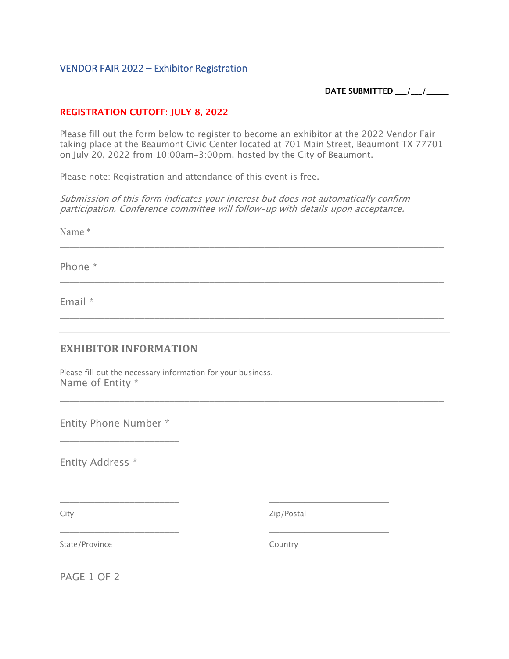## VENDOR FAIR 2022 – Exhibitor Registration

**DATE SUBMITTED \_\_\_/\_\_\_/\_\_\_\_\_\_**

#### **REGISTRATION CUTOFF: JULY 8, 2022**

Please fill out the form below to register to become an exhibitor at the 2022 Vendor Fair taking place at the Beaumont Civic Center located at 701 Main Street, Beaumont TX 77701 on July 20, 2022 from 10:00am-3:00pm, hosted by the City of Beaumont.

\_\_\_\_\_\_\_\_\_\_\_\_\_\_\_\_\_\_\_\_\_\_\_\_\_\_\_\_\_\_\_\_\_\_\_\_\_\_\_\_\_\_\_\_\_\_\_\_\_\_\_\_\_\_\_\_\_\_\_\_\_\_\_\_\_\_\_\_\_\_\_\_\_\_\_\_\_

\_\_\_\_\_\_\_\_\_\_\_\_\_\_\_\_\_\_\_\_\_\_\_\_\_\_\_\_\_\_\_\_\_\_\_\_\_\_\_\_\_\_\_\_\_\_\_\_\_\_\_\_\_\_\_\_\_\_\_\_\_\_\_\_\_\_\_\_\_\_\_\_\_\_\_\_\_

\_\_\_\_\_\_\_\_\_\_\_\_\_\_\_\_\_\_\_\_\_\_\_\_\_\_\_\_\_\_\_\_\_\_\_\_\_\_\_\_\_\_\_\_\_\_\_\_\_\_\_\_\_\_\_\_\_\_\_\_\_\_\_\_\_\_\_\_\_\_\_\_\_\_\_\_\_

\_\_\_\_\_\_\_\_\_\_\_\_\_\_\_\_\_\_\_\_\_\_\_\_\_\_\_\_\_\_\_\_\_\_\_\_\_\_\_\_\_\_\_\_\_\_\_\_\_\_\_\_\_\_\_\_\_\_\_\_\_\_\_\_\_\_\_\_\_\_\_\_\_\_\_\_\_

\_\_\_\_\_\_\_\_\_\_\_\_\_\_\_\_\_\_\_\_\_\_\_\_\_\_\_\_\_\_\_\_\_\_\_\_\_\_\_\_\_\_\_\_\_\_\_\_\_\_\_\_\_\_\_\_\_\_\_\_\_\_\_\_\_\_\_\_\_\_\_\_\_\_\_\_\_\_\_\_\_\_\_\_\_\_\_\_\_\_

Please note: Registration and attendance of this event is free.

Submission of this form indicates your interest but does not automatically confirm participation. Conference committee will follow-up with details upon acceptance.

Name \*

Phone \*

Email \*

## **EXHIBITOR INFORMATION**

Please fill out the necessary information for your business. Name of Entity \*

Entity Phone Number \*

\_\_\_\_\_\_\_\_\_\_\_\_\_\_\_\_\_\_\_\_\_\_\_\_

\_\_\_\_\_\_\_\_\_\_\_\_\_\_\_\_\_\_\_\_\_\_\_\_

\_\_\_\_\_\_\_\_\_\_\_\_\_\_\_\_\_\_\_\_\_\_\_\_

Entity Address \*

City

Zip/Postal

\_\_\_\_\_\_\_\_\_\_\_\_\_\_\_\_\_\_\_\_\_\_\_\_

\_\_\_\_\_\_\_\_\_\_\_\_\_\_\_\_\_\_\_\_\_\_\_\_

State/Province

Country

PAGE 1 OF 2